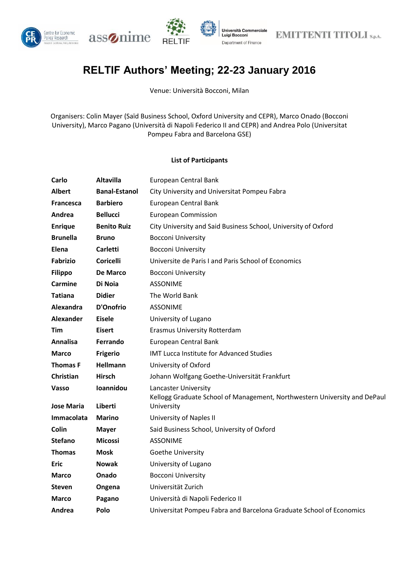





## **RELTIF Authors' Meeting; 22-23 January 2016**

Venue: Università Bocconi, Milan

Organisers: Colin Mayer (Saïd Business School, Oxford University and CEPR), Marco Onado (Bocconi University), Marco Pagano (Università di Napoli Federico II and CEPR) and Andrea Polo (Universitat Pompeu Fabra and Barcelona GSE)

## **List of Participants**

| Carlo             | <b>Altavilla</b>     | European Central Bank                                                                             |  |
|-------------------|----------------------|---------------------------------------------------------------------------------------------------|--|
| <b>Albert</b>     | <b>Banal-Estanol</b> | City University and Universitat Pompeu Fabra                                                      |  |
| <b>Francesca</b>  | <b>Barbiero</b>      | European Central Bank                                                                             |  |
| Andrea            | <b>Bellucci</b>      | <b>European Commission</b>                                                                        |  |
| <b>Enrique</b>    | <b>Benito Ruiz</b>   | City University and Said Business School, University of Oxford                                    |  |
| <b>Brunella</b>   | <b>Bruno</b>         | <b>Bocconi University</b>                                                                         |  |
| Elena             | <b>Carletti</b>      | <b>Bocconi University</b>                                                                         |  |
| <b>Fabrizio</b>   | <b>Coricelli</b>     | Universite de Paris I and Paris School of Economics                                               |  |
| <b>Filippo</b>    | De Marco             | <b>Bocconi University</b>                                                                         |  |
| Carmine           | Di Noia              | <b>ASSONIME</b>                                                                                   |  |
| <b>Tatiana</b>    | <b>Didier</b>        | The World Bank                                                                                    |  |
| Alexandra         | <b>D'Onofrio</b>     | <b>ASSONIME</b>                                                                                   |  |
| Alexander         | <b>Eisele</b>        | University of Lugano                                                                              |  |
| Tim               | <b>Eisert</b>        | Erasmus University Rotterdam                                                                      |  |
| <b>Annalisa</b>   | Ferrando             | European Central Bank                                                                             |  |
| <b>Marco</b>      | <b>Frigerio</b>      | <b>IMT Lucca Institute for Advanced Studies</b>                                                   |  |
| <b>Thomas F</b>   | Hellmann             | University of Oxford                                                                              |  |
| Christian         | <b>Hirsch</b>        | Johann Wolfgang Goethe-Universität Frankfurt                                                      |  |
| Vasso             | Ioannidou            | Lancaster University<br>Kellogg Graduate School of Management, Northwestern University and DePaul |  |
| Jose Maria        | Liberti              | University                                                                                        |  |
| <b>Immacolata</b> | <b>Marino</b>        | University of Naples II                                                                           |  |
| Colin             | <b>Mayer</b>         | Said Business School, University of Oxford                                                        |  |
| <b>Stefano</b>    | <b>Micossi</b>       | <b>ASSONIME</b>                                                                                   |  |
| <b>Thomas</b>     | <b>Mosk</b>          | Goethe University                                                                                 |  |
| <b>Eric</b>       | <b>Nowak</b>         | University of Lugano                                                                              |  |
| <b>Marco</b>      | Onado                | <b>Bocconi University</b>                                                                         |  |
| <b>Steven</b>     | Ongena               | Universität Zurich                                                                                |  |
| <b>Marco</b>      | Pagano               | Università di Napoli Federico II                                                                  |  |
| Andrea            | Polo                 | Universitat Pompeu Fabra and Barcelona Graduate School of Economics                               |  |